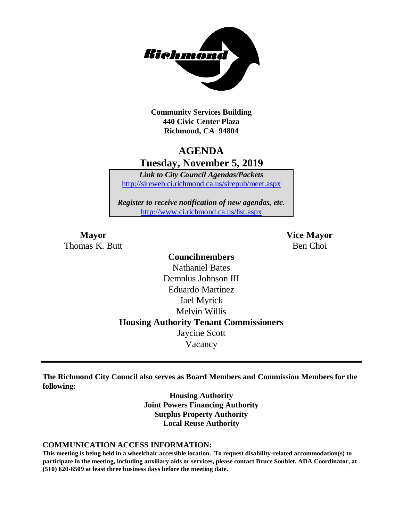

**Community Services Building 440 Civic Center Plaza Richmond, CA 94804**

# **AGENDA Tuesday, November 5, 2019**

*Link to City Council Agendas/Packets* <http://sireweb.ci.richmond.ca.us/sirepub/meet.aspx>

*Register to receive notification of new agendas, etc.* <http://www.ci.richmond.ca.us/list.aspx>

Thomas K. Butt Ben Choi

**Mayor Vice Mayor**

# **Councilmembers** Nathaniel Bates Demnlus Johnson III Eduardo Martinez Jael Myrick Melvin Willis **Housing Authority Tenant Commissioners** Jaycine Scott Vacancy

**The Richmond City Council also serves as Board Members and Commission Members for the following:**

> **Housing Authority Joint Powers Financing Authority Surplus Property Authority Local Reuse Authority**

#### **COMMUNICATION ACCESS INFORMATION:**

**This meeting is being held in a wheelchair accessible location. To request disability-related accommodation(s) to participate in the meeting, including auxiliary aids or services, please contact Bruce Soublet, ADA Coordinator, at (510) 620-6509 at least three business days before the meeting date.**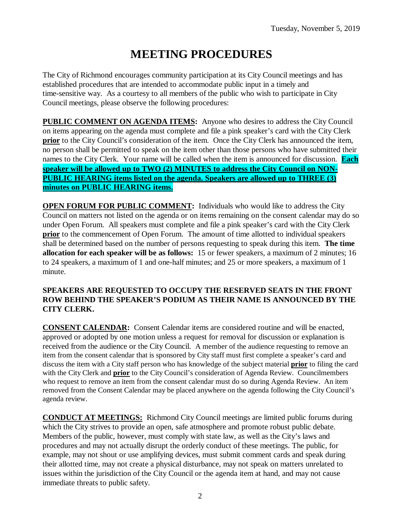# **MEETING PROCEDURES**

The City of Richmond encourages community participation at its City Council meetings and has established procedures that are intended to accommodate public input in a timely and time-sensitive way. As a courtesy to all members of the public who wish to participate in City Council meetings, please observe the following procedures:

**PUBLIC COMMENT ON AGENDA ITEMS:** Anyone who desires to address the City Council on items appearing on the agenda must complete and file a pink speaker's card with the City Clerk **prior** to the City Council's consideration of the item. Once the City Clerk has announced the item, no person shall be permitted to speak on the item other than those persons who have submitted their names to the City Clerk. Your name will be called when the item is announced for discussion. **Each speaker will be allowed up to TWO (2) MINUTES to address the City Council on NON-PUBLIC HEARING items listed on the agenda. Speakers are allowed up to THREE (3) minutes on PUBLIC HEARING items.**

**OPEN FORUM FOR PUBLIC COMMENT:** Individuals who would like to address the City Council on matters not listed on the agenda or on items remaining on the consent calendar may do so under Open Forum. All speakers must complete and file a pink speaker's card with the City Clerk **prior** to the commencement of Open Forum. The amount of time allotted to individual speakers shall be determined based on the number of persons requesting to speak during this item. **The time allocation for each speaker will be as follows:** 15 or fewer speakers, a maximum of 2 minutes; 16 to 24 speakers, a maximum of 1 and one-half minutes; and 25 or more speakers, a maximum of 1 minute.

### **SPEAKERS ARE REQUESTED TO OCCUPY THE RESERVED SEATS IN THE FRONT ROW BEHIND THE SPEAKER'S PODIUM AS THEIR NAME IS ANNOUNCED BY THE CITY CLERK.**

**CONSENT CALENDAR:** Consent Calendar items are considered routine and will be enacted, approved or adopted by one motion unless a request for removal for discussion or explanation is received from the audience or the City Council. A member of the audience requesting to remove an item from the consent calendar that is sponsored by City staff must first complete a speaker's card and discuss the item with a City staff person who has knowledge of the subject material **prior** to filing the card with the City Clerk and **prior** to the City Council's consideration of Agenda Review. Councilmembers who request to remove an item from the consent calendar must do so during Agenda Review. An item removed from the Consent Calendar may be placed anywhere on the agenda following the City Council's agenda review.

**CONDUCT AT MEETINGS:** Richmond City Council meetings are limited public forums during which the City strives to provide an open, safe atmosphere and promote robust public debate. Members of the public, however, must comply with state law, as well as the City's laws and procedures and may not actually disrupt the orderly conduct of these meetings. The public, for example, may not shout or use amplifying devices, must submit comment cards and speak during their allotted time, may not create a physical disturbance, may not speak on matters unrelated to issues within the jurisdiction of the City Council or the agenda item at hand, and may not cause immediate threats to public safety.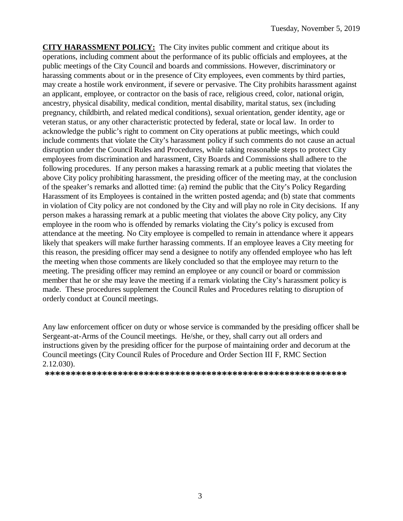**CITY HARASSMENT POLICY:** The City invites public comment and critique about its operations, including comment about the performance of its public officials and employees, at the public meetings of the City Council and boards and commissions. However, discriminatory or harassing comments about or in the presence of City employees, even comments by third parties, may create a hostile work environment, if severe or pervasive. The City prohibits harassment against an applicant, employee, or contractor on the basis of race, religious creed, color, national origin, ancestry, physical disability, medical condition, mental disability, marital status, sex (including pregnancy, childbirth, and related medical conditions), sexual orientation, gender identity, age or veteran status, or any other characteristic protected by federal, state or local law. In order to acknowledge the public's right to comment on City operations at public meetings, which could include comments that violate the City's harassment policy if such comments do not cause an actual disruption under the Council Rules and Procedures, while taking reasonable steps to protect City employees from discrimination and harassment, City Boards and Commissions shall adhere to the following procedures. If any person makes a harassing remark at a public meeting that violates the above City policy prohibiting harassment, the presiding officer of the meeting may, at the conclusion of the speaker's remarks and allotted time: (a) remind the public that the City's Policy Regarding Harassment of its Employees is contained in the written posted agenda; and (b) state that comments in violation of City policy are not condoned by the City and will play no role in City decisions. If any person makes a harassing remark at a public meeting that violates the above City policy, any City employee in the room who is offended by remarks violating the City's policy is excused from attendance at the meeting. No City employee is compelled to remain in attendance where it appears likely that speakers will make further harassing comments. If an employee leaves a City meeting for this reason, the presiding officer may send a designee to notify any offended employee who has left the meeting when those comments are likely concluded so that the employee may return to the meeting. The presiding officer may remind an employee or any council or board or commission member that he or she may leave the meeting if a remark violating the City's harassment policy is made. These procedures supplement the Council Rules and Procedures relating to disruption of orderly conduct at Council meetings.

Any law enforcement officer on duty or whose service is commanded by the presiding officer shall be Sergeant-at-Arms of the Council meetings. He/she, or they, shall carry out all orders and instructions given by the presiding officer for the purpose of maintaining order and decorum at the Council meetings (City Council Rules of Procedure and Order Section III F, RMC Section 2.12.030).

**\*\*\*\*\*\*\*\*\*\*\*\*\*\*\*\*\*\*\*\*\*\*\*\*\*\*\*\*\*\*\*\*\*\*\*\*\*\*\*\*\*\*\*\*\*\*\*\*\*\*\*\*\*\*\*\*\*\***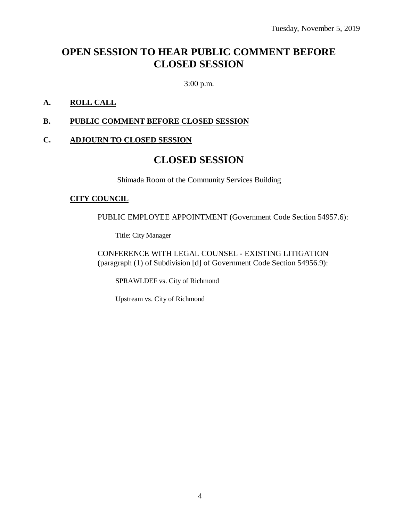# **OPEN SESSION TO HEAR PUBLIC COMMENT BEFORE CLOSED SESSION**

3:00 p.m.

### **A. ROLL CALL**

### **B. PUBLIC COMMENT BEFORE CLOSED SESSION**

### **C. ADJOURN TO CLOSED SESSION**

## **CLOSED SESSION**

Shimada Room of the Community Services Building

### **CITY COUNCIL**

PUBLIC EMPLOYEE APPOINTMENT (Government Code Section 54957.6):

Title: City Manager

CONFERENCE WITH LEGAL COUNSEL - EXISTING LITIGATION (paragraph (1) of Subdivision [d] of Government Code Section 54956.9):

SPRAWLDEF vs. City of Richmond

Upstream vs. City of Richmond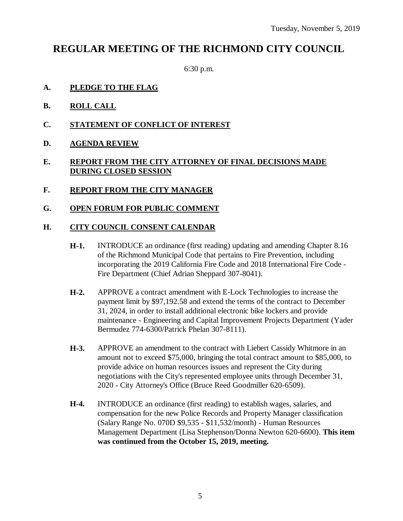# **REGULAR MEETING OF THE RICHMOND CITY COUNCIL**

6:30 p.m.

- **A. PLEDGE TO THE FLAG**
- **B. ROLL CALL**
- **C. STATEMENT OF CONFLICT OF INTEREST**
- **D. AGENDA REVIEW**

### **E. REPORT FROM THE CITY ATTORNEY OF FINAL DECISIONS MADE DURING CLOSED SESSION**

- **F. REPORT FROM THE CITY MANAGER**
- **G. OPEN FORUM FOR PUBLIC COMMENT**

#### **H. CITY COUNCIL CONSENT CALENDAR**

- **H-1.** INTRODUCE an ordinance (first reading) updating and amending Chapter 8.16 of the Richmond Municipal Code that pertains to Fire Prevention, including incorporating the 2019 California Fire Code and 2018 International Fire Code - Fire Department (Chief Adrian Sheppard 307-8041).
- **H-2.** APPROVE a contract amendment with E-Lock Technologies to increase the payment limit by \$97,192.58 and extend the terms of the contract to December 31, 2024, in order to install additional electronic bike lockers and provide maintenance - Engineering and Capital Improvement Projects Department (Yader Bermudez 774-6300/Patrick Phelan 307-8111).
- **H-3.** APPROVE an amendment to the contract with Liebert Cassidy Whitmore in an amount not to exceed \$75,000, bringing the total contract amount to \$85,000, to provide advice on human resources issues and represent the City during negotiations with the City's represented employee units through December 31, 2020 - City Attorney's Office (Bruce Reed Goodmiller 620-6509).
- **H-4.** INTRODUCE an ordinance (first reading) to establish wages, salaries, and compensation for the new Police Records and Property Manager classification (Salary Range No. 070D \$9,535 - \$11,532/month) - Human Resources Management Department (Lisa Stephenson/Donna Newton 620-6600). **This item was continued from the October 15, 2019, meeting.**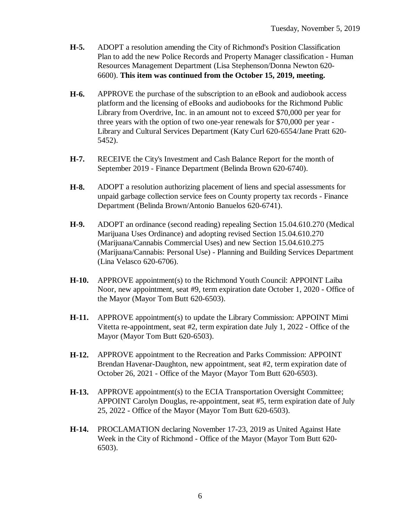- **H-5.** ADOPT a resolution amending the City of Richmond's Position Classification Plan to add the new Police Records and Property Manager classification - Human Resources Management Department (Lisa Stephenson/Donna Newton 620- 6600). **This item was continued from the October 15, 2019, meeting.**
- **H-6.** APPROVE the purchase of the subscription to an eBook and audiobook access platform and the licensing of eBooks and audiobooks for the Richmond Public Library from Overdrive, Inc. in an amount not to exceed \$70,000 per year for three years with the option of two one-year renewals for \$70,000 per year - Library and Cultural Services Department (Katy Curl 620-6554/Jane Pratt 620- 5452).
- **H-7.** RECEIVE the City's Investment and Cash Balance Report for the month of September 2019 - Finance Department (Belinda Brown 620-6740).
- **H-8.** ADOPT a resolution authorizing placement of liens and special assessments for unpaid garbage collection service fees on County property tax records - Finance Department (Belinda Brown/Antonio Banuelos 620-6741).
- **H-9.** ADOPT an ordinance (second reading) repealing Section 15.04.610.270 (Medical Marijuana Uses Ordinance) and adopting revised Section 15.04.610.270 (Marijuana/Cannabis Commercial Uses) and new Section 15.04.610.275 (Marijuana/Cannabis: Personal Use) - Planning and Building Services Department (Lina Velasco 620-6706).
- **H-10.** APPROVE appointment(s) to the Richmond Youth Council: APPOINT Laiba Noor, new appointment, seat #9, term expiration date October 1, 2020 - Office of the Mayor (Mayor Tom Butt 620-6503).
- **H-11.** APPROVE appointment(s) to update the Library Commission: APPOINT Mimi Vitetta re-appointment, seat #2, term expiration date July 1, 2022 - Office of the Mayor (Mayor Tom Butt 620-6503).
- **H-12.** APPROVE appointment to the Recreation and Parks Commission: APPOINT Brendan Havenar-Daughton, new appointment, seat #2, term expiration date of October 26, 2021 - Office of the Mayor (Mayor Tom Butt 620-6503).
- **H-13.** APPROVE appointment(s) to the ECIA Transportation Oversight Committee; APPOINT Carolyn Douglas, re-appointment, seat #5, term expiration date of July 25, 2022 - Office of the Mayor (Mayor Tom Butt 620-6503).
- **H-14.** PROCLAMATION declaring November 17-23, 2019 as United Against Hate Week in the City of Richmond - Office of the Mayor (Mayor Tom Butt 620- 6503).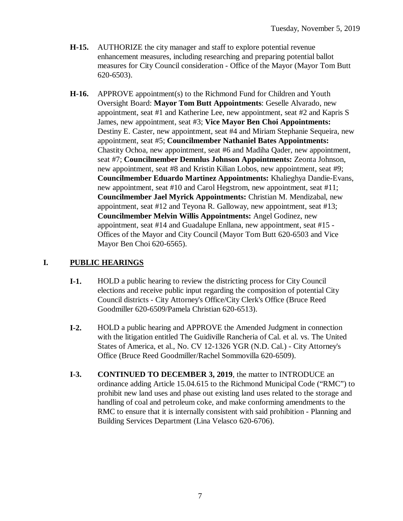- **H-15.** AUTHORIZE the city manager and staff to explore potential revenue enhancement measures, including researching and preparing potential ballot measures for City Council consideration - Office of the Mayor (Mayor Tom Butt 620-6503).
- **H-16.** APPROVE appointment(s) to the Richmond Fund for Children and Youth Oversight Board: **Mayor Tom Butt Appointments**: Geselle Alvarado, new appointment, seat #1 and Katherine Lee, new appointment, seat #2 and Kapris S James, new appointment, seat #3; **Vice Mayor Ben Choi Appointments:** Destiny E. Caster, new appointment, seat #4 and Miriam Stephanie Sequeira, new appointment, seat #5; **Councilmember Nathaniel Bates Appointments:** Chastity Ochoa, new appointment, seat #6 and Madiha Qader, new appointment, seat #7; **Councilmember Demnlus Johnson Appointments:** Zeonta Johnson, new appointment, seat #8 and Kristin Kilian Lobos, new appointment, seat #9; **Councilmember Eduardo Martinez Appointments:** Khalieghya Dandie-Evans, new appointment, seat #10 and Carol Hegstrom, new appointment, seat #11; **Councilmember Jael Myrick Appointments:** Christian M. Mendizabal, new appointment, seat #12 and Teyona R. Galloway, new appointment, seat #13; **Councilmember Melvin Willis Appointments:** Angel Godinez, new appointment, seat #14 and Guadalupe Enllana, new appointment, seat #15 - Offices of the Mayor and City Council (Mayor Tom Butt 620-6503 and Vice Mayor Ben Choi 620-6565).

### **I. PUBLIC HEARINGS**

- **I-1.** HOLD a public hearing to review the districting process for City Council elections and receive public input regarding the composition of potential City Council districts - City Attorney's Office/City Clerk's Office (Bruce Reed Goodmiller 620-6509/Pamela Christian 620-6513).
- **I-2.** HOLD a public hearing and APPROVE the Amended Judgment in connection with the litigation entitled The Guidiville Rancheria of Cal. et al. vs. The United States of America, et al., No. CV 12-1326 YGR (N.D. Cal.) - City Attorney's Office (Bruce Reed Goodmiller/Rachel Sommovilla 620-6509).
- **I-3. CONTINUED TO DECEMBER 3, 2019**, the matter to INTRODUCE an ordinance adding Article 15.04.615 to the Richmond Municipal Code ("RMC") to prohibit new land uses and phase out existing land uses related to the storage and handling of coal and petroleum coke, and make conforming amendments to the RMC to ensure that it is internally consistent with said prohibition - Planning and Building Services Department (Lina Velasco 620-6706).